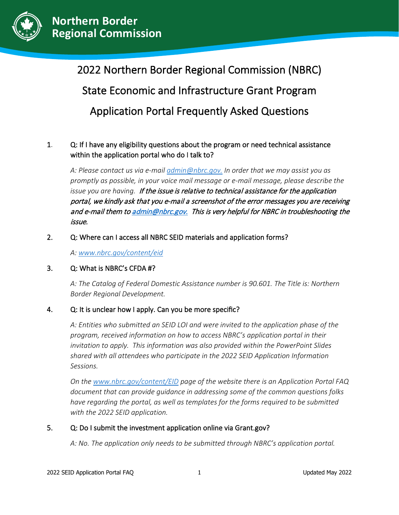

֦

# 2022 Northern Border Regional Commission (NBRC) State Economic and Infrastructure Grant Program Application Portal Frequently Asked Questions

# 1. Q: If I have any eligibility questions about the program or need technical assistance within the application portal who do I talk to?

*A: Please contact us via e-mail [admin@nbrc.gov.](mailto:admin@nbrc.gov) In order that we may assist you as promptly as possible, in your voice mail message or e-mail message, please describe the issue you are having.* If the issue is relative to technical assistance for the application portal, we kindly ask that you e-mail a screenshot of the error messages you are receiving and e-mail them t[o admin@nbrc.gov.](mailto:admin@nbrc.gov) This is very helpful for NBRC in troubleshooting the issue.

#### 2. Q: Where can I access all NBRC SEID materials and application forms?

*A: [www.nbrc.gov/content/eid](http://www.nbrc.gov/content/eid)*

#### 3. Q: What is NBRC's CFDA #?

*A: The Catalog of Federal Domestic Assistance number is 90.601. The Title is: Northern Border Regional Development.*

### 4. Q: It is unclear how I apply. Can you be more specific?

*A: Entities who submitted an SEID LOI and were invited to the application phase of the program, received information on how to access NBRC's application portal in their invitation to apply. This information was also provided within the PowerPoint Slides shared with all attendees who participate in the 2022 SEID Application Information Sessions.*

*On the [www.nbrc.gov/content/EID](http://www.nbrc.gov/content/EID) page of the website there is an Application Portal FAQ document that can provide guidance in addressing some of the common questions folks have regarding the portal, as well as templates for the forms required to be submitted with the 2022 SEID application.*

#### 5. Q: Do I submit the investment application online via Grant.gov?

*A: No. The application only needs to be submitted through NBRC's application portal.*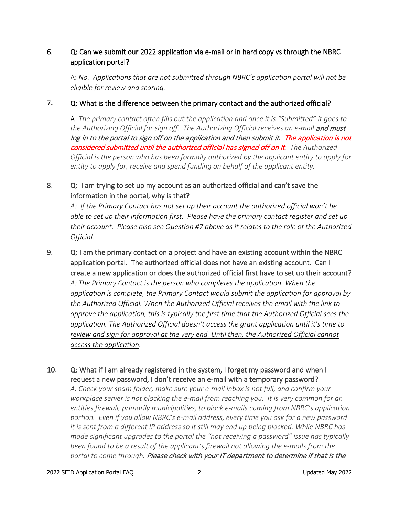## 6. Q: Can we submit our 2022 application via e-mail or in hard copy vs through the NBRC application portal?

 A: *No. Applications that are not submitted through NBRC's application portal will not be eligible for review and scoring.*

#### 7**.** Q: What is the difference between the primary contact and the authorized official?

A: *The primary contact often fills out the application and once it is "Submitted" it goes to*  the Authorizing Official for sign off. The Authorizing Official receives an e-mail and must log in to the portal to sign off on the application and then submit it*.* The application is not considered submitted until the authorized official has signed off on it*. The Authorized Official is the person who has been formally authorized by the applicant entity to apply for entity to apply for, receive and spend funding on behalf of the applicant entity.*

## 8. Q: I am trying to set up my account as an authorized official and can't save the information in the portal, why is that?

*A: If the Primary Contact has not set up their account the authorized official won't be able to set up their information first. Please have the primary contact register and set up their account. Please also see Question #7 above as it relates to the role of the Authorized Official.* 

9. Q: I am the primary contact on a project and have an existing account within the NBRC application portal. The authorized official does not have an existing account. Can I create a new application or does the authorized official first have to set up their account? *A: The Primary Contact is the person who completes the application. When the application is complete, the Primary Contact would submit the application for approval by the Authorized Official. When the Authorized Official receives the email with the link to approve the application, this is typically the first time that the Authorized Official sees the application. The Authorized Official doesn't access the grant application until it's time to review and sign for approval at the very end. Until then, the Authorized Official cannot access the application.*

### 10. Q: What if I am already registered in the system, I forget my password and when I request a new password, I don't receive an e-mail with a temporary password?

*A: Check your spam folder, make sure your e-mail inbox is not full, and confirm your workplace server is not blocking the e-mail from reaching you. It is very common for an entities firewall, primarily municipalities, to block e-mails coming from NBRC's application portion. Even if you allow NBRC's e-mail address, every time you ask for a new password it is sent from a different IP address so it still may end up being blocked. While NBRC has made significant upgrades to the portal the "not receiving a password" issue has typically been found to be a result of the applicant's firewall not allowing the e-mails from the portal to come through.* Please check with your IT department to determine if that is the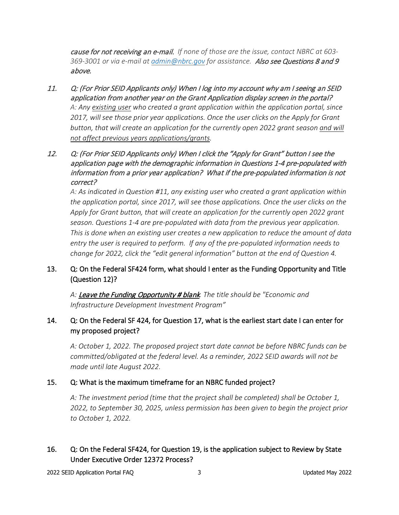cause for not receiving an e-mail. *If none of those are the issue, contact NBRC at 603- 369-3001 or via e-mail at [admin@nbrc.gov](mailto:admin@nbrc.gov) for assistance.* Also see Questions 8 and 9 above.

- 11. Q: (For Prior SEID Applicants only) When I log into my account why am I seeing an SEID application from another year on the Grant Application display screen in the portal? *A: Any existing user who created a grant application within the application portal, since 2017, will see those prior year applications. Once the user clicks on the Apply for Grant button, that will create an application for the currently open 2022 grant season and will not affect previous years applications/grants.*
- 12. Q: (For Prior SEID Applicants only) When I click the "Apply for Grant" button I see the application page with the demographic information in Questions 1-4 pre-populated with information from a prior year application? What if the pre-populated information is not correct?

*A: As indicated in Question #11, any existing user who created a grant application within the application portal, since 2017, will see those applications. Once the user clicks on the Apply for Grant button, that will create an application for the currently open 2022 grant season. Questions 1-4 are pre-populated with data from the previous year application. This is done when an existing user creates a new application to reduce the amount of data entry the user is required to perform. If any of the pre-populated information needs to change for 2022, click the "edit general information" button at the end of Question 4.*

### 13. Q: On the Federal SF424 form, what should I enter as the Funding Opportunity and Title (Question 12)?

*A:* Leave the Funding Opportunity # blank*. The title should be "Economic and Infrastructure Development Investment Program"*

# 14. Q: On the Federal SF 424, for Question 17, what is the earliest start date I can enter for my proposed project?

*A: October 1, 2022. The proposed project start date cannot be before NBRC funds can be committed/obligated at the federal level. As a reminder, 2022 SEID awards will not be made until late August 2022.* 

### 15. Q: What is the maximum timeframe for an NBRC funded project?

*A: The investment period (time that the project shall be completed) shall be October 1, 2022, to September 30, 2025, unless permission has been given to begin the project prior to October 1, 2022.* 

# 16. Q: On the Federal SF424, for Question 19, is the application subject to Review by State Under Executive Order 12372 Process?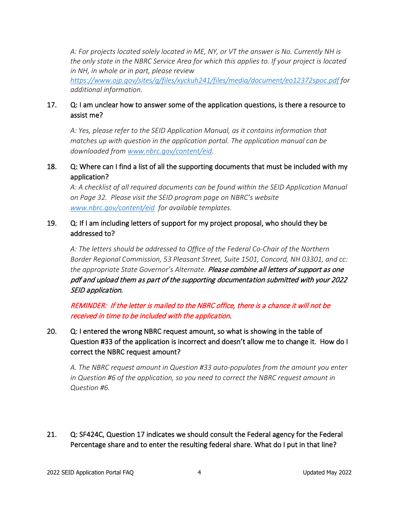*A: For projects located solely located in ME, NY, or VT the answer is No. Currently NH is the only state in the NBRC Service Area for which this applies to. If your project is located in NH, in whole or in part, please review*

*<https://www.ojp.gov/sites/g/files/xyckuh241/files/media/document/eo12372spoc.pdf> for additional information.*

### 17. Q: I am unclear how to answer some of the application questions, is there a resource to assist me?

*A: Yes, please refer to the SEID Application Manual, as it contains information that matches up with question in the application portal. The application manual can be downloaded from [www.nbrc.gov/content/eid.](http://www.nbrc.gov/content/eid)* 

### 18. Q: Where can I find a list of all the supporting documents that must be included with my application?

*A: A checklist of all required documents can be found within the SEID Application Manual on Page 32. Please visit the SEID program page on NBRC's website [www.nbrc.gov/content/eid](http://www.nbrc.gov/content/eid) for available templates.* 

## 19. Q: If I am including letters of support for my project proposal, who should they be addressed to?

*A: The letters should be addressed to Office of the Federal Co-Chair of the Northern Border Regional Commission, 53 Pleasant Street, Suite 1501, Concord, NH 03301, and cc: the appropriate State Governor's Alternate.* Please combine all letters of support as one pdf and upload them as part of the supporting documentation submitted with your 2022 SEID application.

REMINDER: If the letter is mailed to the NBRC office, there is a chance it will not be received in time to be included with the application.

# 20. Q: I entered the wrong NBRC request amount, so what is showing in the table of Question #33 of the application is incorrect and doesn't allow me to change it. How do I correct the NBRC request amount?

*A. The NBRC request amount in Question #33 auto-populates from the amount you enter in Question #6 of the application, so you need to correct the NBRC request amount in Question #6.*

21. Q: SF424C, Question 17 indicates we should consult the Federal agency for the Federal Percentage share and to enter the resulting federal share. What do I put in that line?